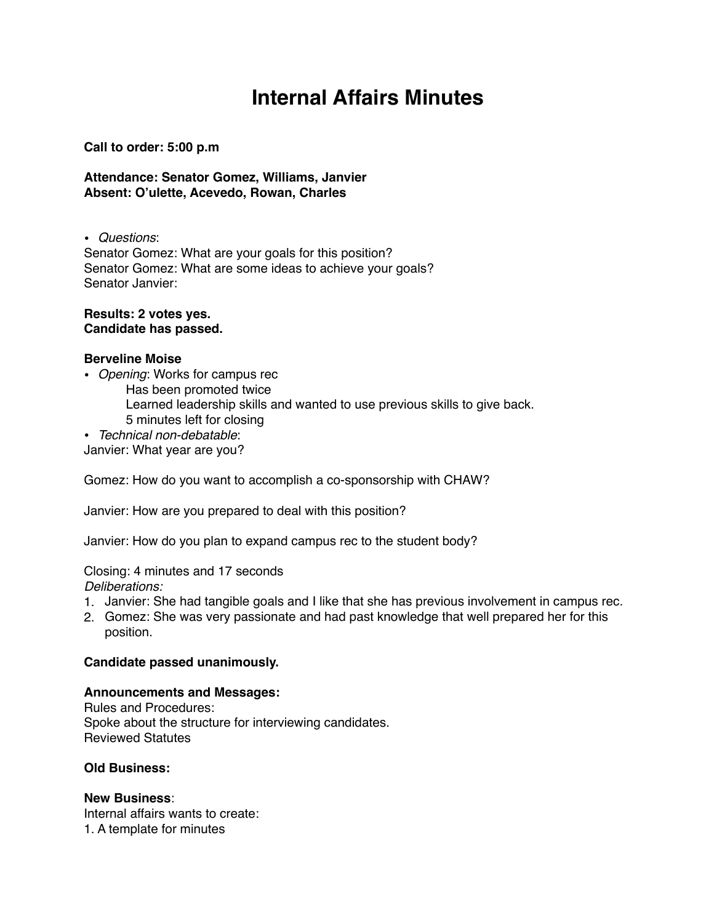# **Internal Affairs Minutes**

#### **Call to order: 5:00 p.m**

**Attendance: Senator Gomez, Williams, Janvier Absent: O'ulette, Acevedo, Rowan, Charles**

• *Questions*:

Senator Gomez: What are your goals for this position? Senator Gomez: What are some ideas to achieve your goals? Senator Janvier:

**Results: 2 votes yes. Candidate has passed.**

#### **Berveline Moise**

• *Opening*: Works for campus rec Has been promoted twice Learned leadership skills and wanted to use previous skills to give back. 5 minutes left for closing

• *Technical non-debatable*:

Janvier: What year are you?

Gomez: How do you want to accomplish a co-sponsorship with CHAW?

Janvier: How are you prepared to deal with this position?

Janvier: How do you plan to expand campus rec to the student body?

Closing: 4 minutes and 17 seconds *Deliberations:*

- 1. Janvier: She had tangible goals and I like that she has previous involvement in campus rec.
- 2. Gomez: She was very passionate and had past knowledge that well prepared her for this position.

#### **Candidate passed unanimously.**

### **Announcements and Messages:**

Rules and Procedures: Spoke about the structure for interviewing candidates. Reviewed Statutes

#### **Old Business:**

**New Business**: Internal affairs wants to create: 1. A template for minutes